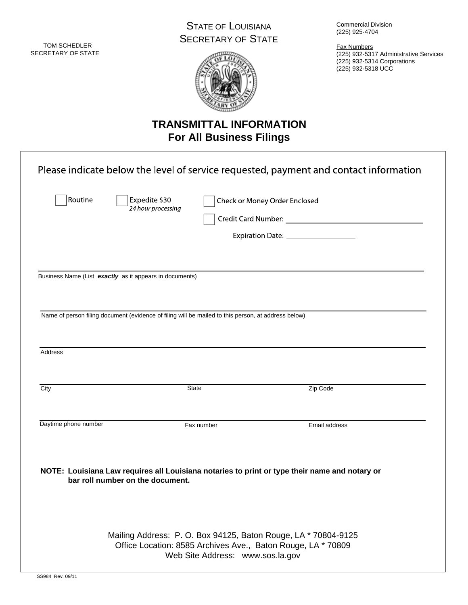TOM SCHEDLER SECRETARY OF STATE

## STATE OF LOUISIANA SECRETARY OF STATE



Commercial Division (225) 925-4704

Fax Numbers (225) 932-5317 Administrative Services (225) 932-5314 Corporations (225) 932-5318 UCC

# **TRANSMITTAL INFORMATION For All Business Filings**

|                      | Business Name (List exactly as it appears in documents)<br>Name of person filing document (evidence of filing will be mailed to this person, at address below) |              |                                                                                               |  |
|----------------------|----------------------------------------------------------------------------------------------------------------------------------------------------------------|--------------|-----------------------------------------------------------------------------------------------|--|
| Address<br>City      |                                                                                                                                                                | <b>State</b> | Zip Code                                                                                      |  |
| Daytime phone number |                                                                                                                                                                | Fax number   | Email address                                                                                 |  |
|                      |                                                                                                                                                                |              | NOTE: Louisiana Law requires all Louisiana notaries to print or type their name and notary or |  |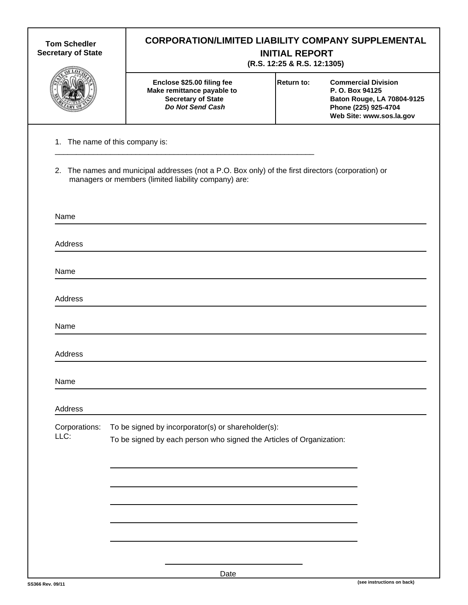| <b>Tom Schedler</b><br><b>Secretary of State</b> | <b>CORPORATION/LIMITED LIABILITY COMPANY SUPPLEMENTAL</b><br><b>INITIAL REPORT</b><br>(R.S. 12:25 & R.S. 12:1305)                                          |      |                   |                                                                                                                                 |  |  |
|--------------------------------------------------|------------------------------------------------------------------------------------------------------------------------------------------------------------|------|-------------------|---------------------------------------------------------------------------------------------------------------------------------|--|--|
|                                                  | Enclose \$25.00 filing fee<br>Make remittance payable to<br><b>Secretary of State</b><br><b>Do Not Send Cash</b>                                           |      | <b>Return to:</b> | <b>Commercial Division</b><br>P. O. Box 94125<br>Baton Rouge, LA 70804-9125<br>Phone (225) 925-4704<br>Web Site: www.sos.la.gov |  |  |
|                                                  | 1. The name of this company is:                                                                                                                            |      |                   |                                                                                                                                 |  |  |
|                                                  | 2. The names and municipal addresses (not a P.O. Box only) of the first directors (corporation) or<br>managers or members (limited liability company) are: |      |                   |                                                                                                                                 |  |  |
| Name                                             |                                                                                                                                                            |      |                   |                                                                                                                                 |  |  |
| Address                                          |                                                                                                                                                            |      |                   |                                                                                                                                 |  |  |
| Name                                             |                                                                                                                                                            |      |                   |                                                                                                                                 |  |  |
| Address                                          |                                                                                                                                                            |      |                   |                                                                                                                                 |  |  |
| Name                                             |                                                                                                                                                            |      |                   |                                                                                                                                 |  |  |
| Address                                          |                                                                                                                                                            |      |                   |                                                                                                                                 |  |  |
| Name                                             |                                                                                                                                                            |      |                   |                                                                                                                                 |  |  |
| Address                                          |                                                                                                                                                            |      |                   |                                                                                                                                 |  |  |
| Corporations:<br>LLC:                            | To be signed by incorporator(s) or shareholder(s):<br>To be signed by each person who signed the Articles of Organization:                                 |      |                   |                                                                                                                                 |  |  |
|                                                  |                                                                                                                                                            |      |                   |                                                                                                                                 |  |  |
|                                                  |                                                                                                                                                            |      |                   |                                                                                                                                 |  |  |
|                                                  |                                                                                                                                                            |      |                   |                                                                                                                                 |  |  |
|                                                  |                                                                                                                                                            | Date |                   |                                                                                                                                 |  |  |